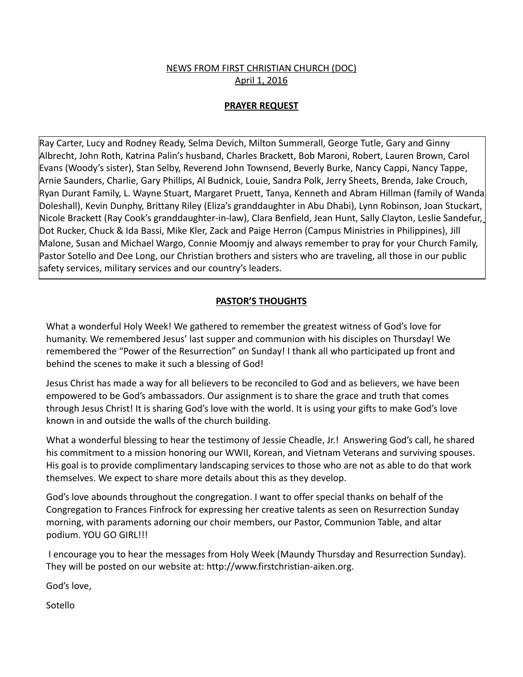# NEWS FROM FIRST CHRISTIAN CHURCH (DOC) April 1, 2016

### **PRAYER REQUEST**

Ray Carter, Lucy and Rodney Ready, Selma Devich, Milton Summerall, George Tutle, Gary and Ginny Albrecht, John Roth, Katrina Palin's husband, Charles Brackett, Bob Maroni, Robert, Lauren Brown, Carol Evans (Woody's sister), Stan Selby, Reverend John Townsend, Beverly Burke, Nancy Cappi, Nancy Tappe, Arnie Saunders, Charlie, Gary Phillips, Al Budnick, Louie, Sandra Polk, Jerry Sheets, Brenda, Jake Crouch, Ryan Durant Family, L. Wayne Stuart, Margaret Pruett, Tanya, Kenneth and Abram Hillman (family of Wanda Doleshall), Kevin Dunphy, Brittany Riley (Eliza's granddaughter in Abu Dhabi), Lynn Robinson, Joan Stuckart, Nicole Brackett (Ray Cook's granddaughter-in-law), Clara Benfield, Jean Hunt, Sally Clayton, Leslie Sandefur, Dot Rucker, Chuck & Ida Bassi, Mike Kler, Zack and Paige Herron (Campus Ministries in Philippines), Jill Malone, Susan and Michael Wargo, Connie Moomjy and always remember to pray for your Church Family, Pastor Sotello and Dee Long, our Christian brothers and sisters who are traveling, all those in our public safety services, military services and our country's leaders.

#### **PASTOR'S THOUGHTS**

What a wonderful Holy Week! We gathered to remember the greatest witness of God's love for humanity. We remembered Jesus' last supper and communion with his disciples on Thursday! We remembered the "Power of the Resurrection" on Sunday! I thank all who participated up front and behind the scenes to make it such a blessing of God!

Jesus Christ has made a way for all believers to be reconciled to God and as believers, we have been empowered to be God's ambassadors. Our assignment is to share the grace and truth that comes through Jesus Christ! It is sharing God's love with the world. It is using your gifts to make God's love known in and outside the walls of the church building.

What a wonderful blessing to hear the testimony of Jessie Cheadle, Jr.! Answering God's call, he shared his commitment to a mission honoring our WWII, Korean, and Vietnam Veterans and surviving spouses. His goal is to provide complimentary landscaping services to those who are not as able to do that work themselves. We expect to share more details about this as they develop.

God's love abounds throughout the congregation. I want to offer special thanks on behalf of the Congregation to Frances Finfrock for expressing her creative talents as seen on Resurrection Sunday morning, with paraments adorning our choir members, our Pastor, Communion Table, and altar podium. YOU GO GIRL!!!

 I encourage you to hear the messages from Holy Week (Maundy Thursday and Resurrection Sunday). They will be posted on our website at: http://www.firstchristian-aiken.org.

God's love,

Sotello